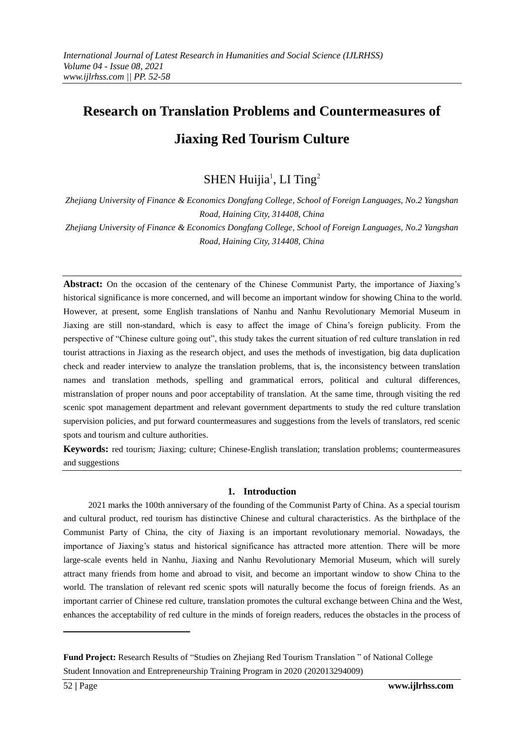# **Research on Translation Problems and Countermeasures of Jiaxing Red Tourism Culture**

SHEN Huijia<sup>1</sup>, LI Ting<sup>2</sup>

*Zhejiang University of Finance & Economics Dongfang College, School of Foreign Languages, No.2 Yangshan Road, Haining City, 314408, China Zhejiang University of Finance & Economics Dongfang College, School of Foreign Languages, No.2 Yangshan* 

*Road, Haining City, 314408, China*

**Abstract:** On the occasion of the centenary of the Chinese Communist Party, the importance of Jiaxing's historical significance is more concerned, and will become an important window for showing China to the world. However, at present, some English translations of Nanhu and Nanhu Revolutionary Memorial Museum in Jiaxing are still non-standard, which is easy to affect the image of China's foreign publicity. From the perspective of "Chinese culture going out", this study takes the current situation of red culture translation in red tourist attractions in Jiaxing as the research object, and uses the methods of investigation, big data duplication check and reader interview to analyze the translation problems, that is, the inconsistency between translation names and translation methods, spelling and grammatical errors, political and cultural differences, mistranslation of proper nouns and poor acceptability of translation. At the same time, through visiting the red scenic spot management department and relevant government departments to study the red culture translation supervision policies, and put forward countermeasures and suggestions from the levels of translators, red scenic spots and tourism and culture authorities.

**Keywords:** red tourism; Jiaxing; culture; Chinese-English translation; translation problems; countermeasures and suggestions

# **1. Introduction**

2021 marks the 100th anniversary of the founding of the Communist Party of China. As a special tourism and cultural product, red tourism has distinctive Chinese and cultural characteristics. As the birthplace of the Communist Party of China, the city of Jiaxing is an important revolutionary memorial. Nowadays, the importance of Jiaxing's status and historical significance has attracted more attention. There will be more large-scale events held in Nanhu, Jiaxing and Nanhu Revolutionary Memorial Museum, which will surely attract many friends from home and abroad to visit, and become an important window to show China to the world. The translation of relevant red scenic spots will naturally become the focus of foreign friends. As an important carrier of Chinese red culture, translation promotes the cultural exchange between China and the West, enhances the acceptability of red culture in the minds of foreign readers, reduces the obstacles in the process of

-

**Fund Project:** Research Results of "Studies on Zhejiang Red Tourism Translation " of National College Student Innovation and Entrepreneurship Training Program in 2020 (202013294009)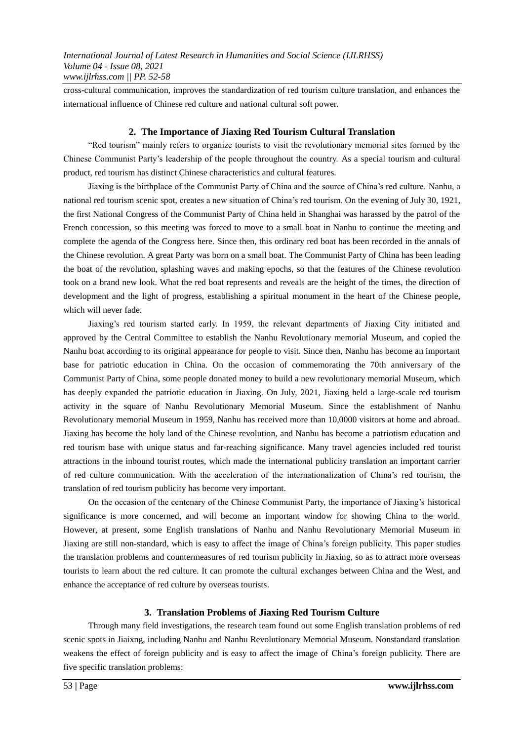cross-cultural communication, improves the standardization of red tourism culture translation, and enhances the international influence of Chinese red culture and national cultural soft power.

## **2. The Importance of Jiaxing Red Tourism Cultural Translation**

"Red tourism" mainly refers to organize tourists to visit the revolutionary memorial sites formed by the Chinese Communist Party's leadership of the people throughout the country. As a special tourism and cultural product, red tourism has distinct Chinese characteristics and cultural features.

Jiaxing is the birthplace of the Communist Party of China and the source of China's red culture. Nanhu, a national red tourism scenic spot, creates a new situation of China's red tourism. On the evening of July 30, 1921, the first National Congress of the Communist Party of China held in Shanghai was harassed by the patrol of the French concession, so this meeting was forced to move to a small boat in Nanhu to continue the meeting and complete the agenda of the Congress here. Since then, this ordinary red boat has been recorded in the annals of the Chinese revolution. A great Party was born on a small boat. The Communist Party of China has been leading the boat of the revolution, splashing waves and making epochs, so that the features of the Chinese revolution took on a brand new look. What the red boat represents and reveals are the height of the times, the direction of development and the light of progress, establishing a spiritual monument in the heart of the Chinese people, which will never fade.

Jiaxing's red tourism started early. In 1959, the relevant departments of Jiaxing City initiated and approved by the Central Committee to establish the Nanhu Revolutionary memorial Museum, and copied the Nanhu boat according to its original appearance for people to visit. Since then, Nanhu has become an important base for patriotic education in China. On the occasion of commemorating the 70th anniversary of the Communist Party of China, some people donated money to build a new revolutionary memorial Museum, which has deeply expanded the patriotic education in Jiaxing. On July, 2021, Jiaxing held a large-scale red tourism activity in the square of Nanhu Revolutionary Memorial Museum. Since the establishment of Nanhu Revolutionary memorial Museum in 1959, Nanhu has received more than 10,0000 visitors at home and abroad. Jiaxing has become the holy land of the Chinese revolution, and Nanhu has become a patriotism education and red tourism base with unique status and far-reaching significance. Many travel agencies included red tourist attractions in the inbound tourist routes, which made the international publicity translation an important carrier of red culture communication. With the acceleration of the internationalization of China's red tourism, the translation of red tourism publicity has become very important.

On the occasion of the centenary of the Chinese Communist Party, the importance of Jiaxing's historical significance is more concerned, and will become an important window for showing China to the world. However, at present, some English translations of Nanhu and Nanhu Revolutionary Memorial Museum in Jiaxing are still non-standard, which is easy to affect the image of China's foreign publicity. This paper studies the translation problems and countermeasures of red tourism publicity in Jiaxing, so as to attract more overseas tourists to learn about the red culture. It can promote the cultural exchanges between China and the West, and enhance the acceptance of red culture by overseas tourists.

# **3. Translation Problems of Jiaxing Red Tourism Culture**

Through many field investigations, the research team found out some English translation problems of red scenic spots in Jiaixng, including Nanhu and Nanhu Revolutionary Memorial Museum. Nonstandard translation weakens the effect of foreign publicity and is easy to affect the image of China's foreign publicity. There are five specific translation problems: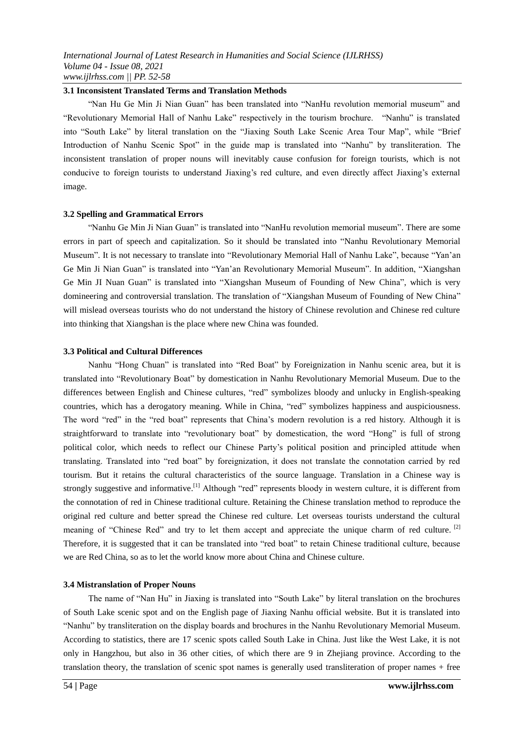#### **3.1 Inconsistent Translated Terms and Translation Methods**

"Nan Hu Ge Min Ji Nian Guan" has been translated into "NanHu revolution memorial museum" and "Revolutionary Memorial Hall of Nanhu Lake" respectively in the tourism brochure. "Nanhu" is translated into "South Lake" by literal translation on the "Jiaxing South Lake Scenic Area Tour Map", while "Brief Introduction of Nanhu Scenic Spot" in the guide map is translated into "Nanhu" by transliteration. The inconsistent translation of proper nouns will inevitably cause confusion for foreign tourists, which is not conducive to foreign tourists to understand Jiaxing's red culture, and even directly affect Jiaxing's external image.

#### **3.2 Spelling and Grammatical Errors**

"Nanhu Ge Min Ji Nian Guan" is translated into "NanHu revolution memorial museum". There are some errors in part of speech and capitalization. So it should be translated into "Nanhu Revolutionary Memorial Museum". It is not necessary to translate into "Revolutionary Memorial Hall of Nanhu Lake", because "Yan'an Ge Min Ji Nian Guan" is translated into "Yan'an Revolutionary Memorial Museum". In addition, "Xiangshan Ge Min JI Nuan Guan" is translated into "Xiangshan Museum of Founding of New China", which is very domineering and controversial translation. The translation of "Xiangshan Museum of Founding of New China" will mislead overseas tourists who do not understand the history of Chinese revolution and Chinese red culture into thinking that Xiangshan is the place where new China was founded.

#### **3.3 Political and Cultural Differences**

Nanhu "Hong Chuan" is translated into "Red Boat" by Foreignization in Nanhu scenic area, but it is translated into "Revolutionary Boat" by domestication in Nanhu Revolutionary Memorial Museum. Due to the differences between English and Chinese cultures, "red" symbolizes bloody and unlucky in English-speaking countries, which has a derogatory meaning. While in China, "red" symbolizes happiness and auspiciousness. The word "red" in the "red boat" represents that China's modern revolution is a red history. Although it is straightforward to translate into "revolutionary boat" by domestication, the word "Hong" is full of strong political color, which needs to reflect our Chinese Party's political position and principled attitude when translating. Translated into "red boat" by foreignization, it does not translate the connotation carried by red tourism. But it retains the cultural characteristics of the source language. Translation in a Chinese way is strongly suggestive and informative.<sup>[1]</sup> Although "red" represents bloody in western culture, it is different from the connotation of red in Chinese traditional culture. Retaining the Chinese translation method to reproduce the original red culture and better spread the Chinese red culture. Let overseas tourists understand the cultural meaning of "Chinese Red" and try to let them accept and appreciate the unique charm of red culture. <sup>[2]</sup> Therefore, it is suggested that it can be translated into "red boat" to retain Chinese traditional culture, because we are Red China, so as to let the world know more about China and Chinese culture.

# **3.4 Mistranslation of Proper Nouns**

The name of "Nan Hu" in Jiaxing is translated into "South Lake" by literal translation on the brochures of South Lake scenic spot and on the English page of Jiaxing Nanhu official website. But it is translated into "Nanhu" by transliteration on the display boards and brochures in the Nanhu Revolutionary Memorial Museum. According to statistics, there are 17 scenic spots called South Lake in China. Just like the West Lake, it is not only in Hangzhou, but also in 36 other cities, of which there are 9 in Zhejiang province. According to the translation theory, the translation of scenic spot names is generally used transliteration of proper names + free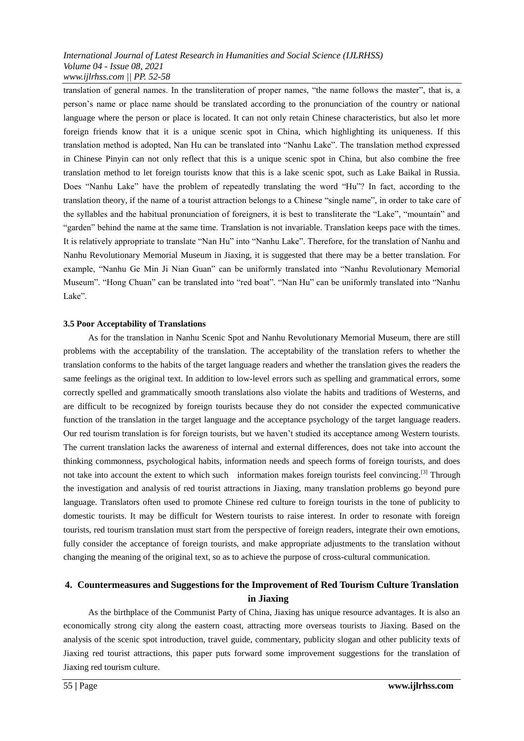#### *International Journal of Latest Research in Humanities and Social Science (IJLRHSS) Volume 04 - Issue 08, 2021 www.ijlrhss.com || PP. 52-58*

translation of general names. In the transliteration of proper names, "the name follows the master", that is, a person's name or place name should be translated according to the pronunciation of the country or national language where the person or place is located. It can not only retain Chinese characteristics, but also let more foreign friends know that it is a unique scenic spot in China, which highlighting its uniqueness. If this translation method is adopted, Nan Hu can be translated into "Nanhu Lake". The translation method expressed in Chinese Pinyin can not only reflect that this is a unique scenic spot in China, but also combine the free translation method to let foreign tourists know that this is a lake scenic spot, such as Lake Baikal in Russia. Does "Nanhu Lake" have the problem of repeatedly translating the word "Hu"? In fact, according to the translation theory, if the name of a tourist attraction belongs to a Chinese "single name", in order to take care of the syllables and the habitual pronunciation of foreigners, it is best to transliterate the "Lake", "mountain" and "garden" behind the name at the same time. Translation is not invariable. Translation keeps pace with the times. It is relatively appropriate to translate "Nan Hu" into "Nanhu Lake". Therefore, for the translation of Nanhu and Nanhu Revolutionary Memorial Museum in Jiaxing, it is suggested that there may be a better translation. For example, "Nanhu Ge Min Ji Nian Guan" can be uniformly translated into "Nanhu Revolutionary Memorial Museum". "Hong Chuan" can be translated into "red boat". "Nan Hu" can be uniformly translated into "Nanhu Lake".

#### **3.5 Poor Acceptability of Translations**

As for the translation in Nanhu Scenic Spot and Nanhu Revolutionary Memorial Museum, there are still problems with the acceptability of the translation. The acceptability of the translation refers to whether the translation conforms to the habits of the target language readers and whether the translation gives the readers the same feelings as the original text. In addition to low-level errors such as spelling and grammatical errors, some correctly spelled and grammatically smooth translations also violate the habits and traditions of Westerns, and are difficult to be recognized by foreign tourists because they do not consider the expected communicative function of the translation in the target language and the acceptance psychology of the target language readers. Our red tourism translation is for foreign tourists, but we haven't studied its acceptance among Western tourists. The current translation lacks the awareness of internal and external differences, does not take into account the thinking commonness, psychological habits, information needs and speech forms of foreign tourists, and does not take into account the extent to which such information makes foreign tourists feel convincing.<sup>[3]</sup> Through the investigation and analysis of red tourist attractions in Jiaxing, many translation problems go beyond pure language. Translators often used to promote Chinese red culture to foreign tourists in the tone of publicity to domestic tourists. It may be difficult for Western tourists to raise interest. In order to resonate with foreign tourists, red tourism translation must start from the perspective of foreign readers, integrate their own emotions, fully consider the acceptance of foreign tourists, and make appropriate adjustments to the translation without changing the meaning of the original text, so as to achieve the purpose of cross-cultural communication.

# **4. Countermeasures and Suggestions for the Improvement of Red Tourism Culture Translation in Jiaxing**

As the birthplace of the Communist Party of China, Jiaxing has unique resource advantages. It is also an economically strong city along the eastern coast, attracting more overseas tourists to Jiaxing. Based on the analysis of the scenic spot introduction, travel guide, commentary, publicity slogan and other publicity texts of Jiaxing red tourist attractions, this paper puts forward some improvement suggestions for the translation of Jiaxing red tourism culture.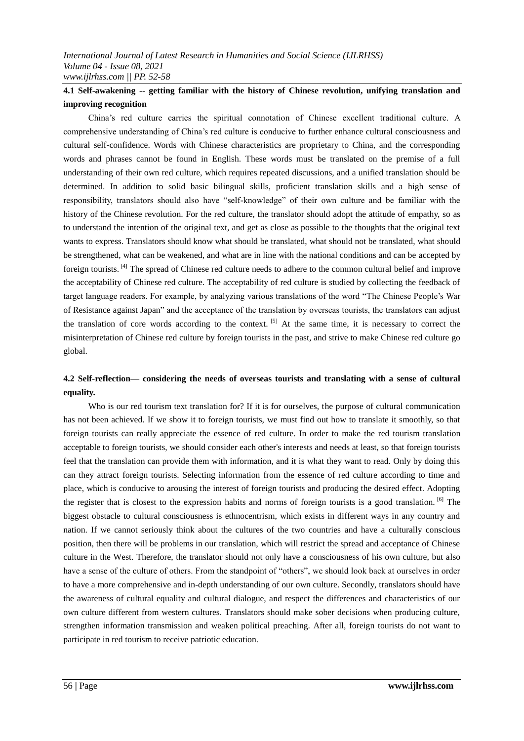# **4.1 Self-awakening -- getting familiar with the history of Chinese revolution, unifying translation and improving recognition**

China's red culture carries the spiritual connotation of Chinese excellent traditional culture. A comprehensive understanding of China's red culture is conducive to further enhance cultural consciousness and cultural self-confidence. Words with Chinese characteristics are proprietary to China, and the corresponding words and phrases cannot be found in English. These words must be translated on the premise of a full understanding of their own red culture, which requires repeated discussions, and a unified translation should be determined. In addition to solid basic bilingual skills, proficient translation skills and a high sense of responsibility, translators should also have "self-knowledge" of their own culture and be familiar with the history of the Chinese revolution. For the red culture, the translator should adopt the attitude of empathy, so as to understand the intention of the original text, and get as close as possible to the thoughts that the original text wants to express. Translators should know what should be translated, what should not be translated, what should be strengthened, what can be weakened, and what are in line with the national conditions and can be accepted by foreign tourists.<sup>[4]</sup> The spread of Chinese red culture needs to adhere to the common cultural belief and improve the acceptability of Chinese red culture. The acceptability of red culture is studied by collecting the feedback of target language readers. For example, by analyzing various translations of the word "The Chinese People's War of Resistance against Japan" and the acceptance of the translation by overseas tourists, the translators can adjust the translation of core words according to the context. <sup>[5]</sup> At the same time, it is necessary to correct the misinterpretation of Chinese red culture by foreign tourists in the past, and strive to make Chinese red culture go global.

# **4.2 Self-reflection— considering the needs of overseas tourists and translating with a sense of cultural equality.**

Who is our red tourism text translation for? If it is for ourselves, the purpose of cultural communication has not been achieved. If we show it to foreign tourists, we must find out how to translate it smoothly, so that foreign tourists can really appreciate the essence of red culture. In order to make the red tourism translation acceptable to foreign tourists, we should consider each other's interests and needs at least, so that foreign tourists feel that the translation can provide them with information, and it is what they want to read. Only by doing this can they attract foreign tourists. Selecting information from the essence of red culture according to time and place, which is conducive to arousing the interest of foreign tourists and producing the desired effect. Adopting the register that is closest to the expression habits and norms of foreign tourists is a good translation. [6] The biggest obstacle to cultural consciousness is ethnocentrism, which exists in different ways in any country and nation. If we cannot seriously think about the cultures of the two countries and have a culturally conscious position, then there will be problems in our translation, which will restrict the spread and acceptance of Chinese culture in the West. Therefore, the translator should not only have a consciousness of his own culture, but also have a sense of the culture of others. From the standpoint of "others", we should look back at ourselves in order to have a more comprehensive and in-depth understanding of our own culture. Secondly, translators should have the awareness of cultural equality and cultural dialogue, and respect the differences and characteristics of our own culture different from western cultures. Translators should make sober decisions when producing culture, strengthen information transmission and weaken political preaching. After all, foreign tourists do not want to participate in red tourism to receive patriotic education.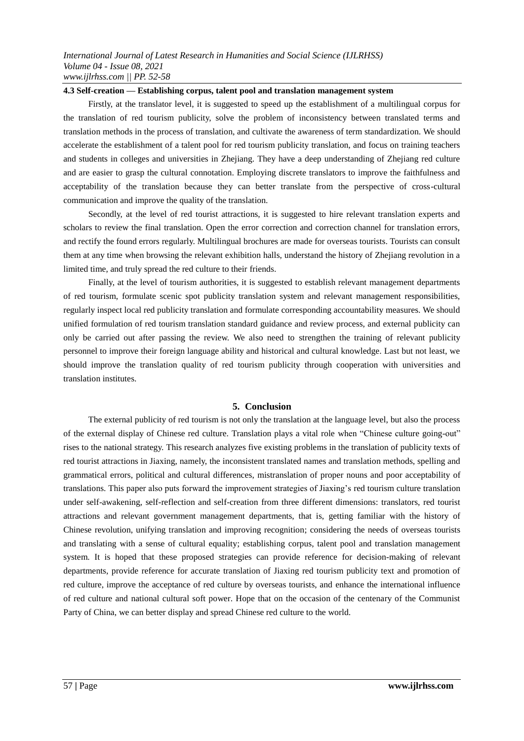#### **4.3 Self-creation — Establishing corpus, talent pool and translation management system**

Firstly, at the translator level, it is suggested to speed up the establishment of a multilingual corpus for the translation of red tourism publicity, solve the problem of inconsistency between translated terms and translation methods in the process of translation, and cultivate the awareness of term standardization. We should accelerate the establishment of a talent pool for red tourism publicity translation, and focus on training teachers and students in colleges and universities in Zhejiang. They have a deep understanding of Zhejiang red culture and are easier to grasp the cultural connotation. Employing discrete translators to improve the faithfulness and acceptability of the translation because they can better translate from the perspective of cross-cultural communication and improve the quality of the translation.

Secondly, at the level of red tourist attractions, it is suggested to hire relevant translation experts and scholars to review the final translation. Open the error correction and correction channel for translation errors, and rectify the found errors regularly. Multilingual brochures are made for overseas tourists. Tourists can consult them at any time when browsing the relevant exhibition halls, understand the history of Zhejiang revolution in a limited time, and truly spread the red culture to their friends.

Finally, at the level of tourism authorities, it is suggested to establish relevant management departments of red tourism, formulate scenic spot publicity translation system and relevant management responsibilities, regularly inspect local red publicity translation and formulate corresponding accountability measures. We should unified formulation of red tourism translation standard guidance and review process, and external publicity can only be carried out after passing the review. We also need to strengthen the training of relevant publicity personnel to improve their foreign language ability and historical and cultural knowledge. Last but not least, we should improve the translation quality of red tourism publicity through cooperation with universities and translation institutes.

# **5. Conclusion**

The external publicity of red tourism is not only the translation at the language level, but also the process of the external display of Chinese red culture. Translation plays a vital role when "Chinese culture going-out" rises to the national strategy. This research analyzes five existing problems in the translation of publicity texts of red tourist attractions in Jiaxing, namely, the inconsistent translated names and translation methods, spelling and grammatical errors, political and cultural differences, mistranslation of proper nouns and poor acceptability of translations. This paper also puts forward the improvement strategies of Jiaxing's red tourism culture translation under self-awakening, self-reflection and self-creation from three different dimensions: translators, red tourist attractions and relevant government management departments, that is, getting familiar with the history of Chinese revolution, unifying translation and improving recognition; considering the needs of overseas tourists and translating with a sense of cultural equality; establishing corpus, talent pool and translation management system. It is hoped that these proposed strategies can provide reference for decision-making of relevant departments, provide reference for accurate translation of Jiaxing red tourism publicity text and promotion of red culture, improve the acceptance of red culture by overseas tourists, and enhance the international influence of red culture and national cultural soft power. Hope that on the occasion of the centenary of the Communist Party of China, we can better display and spread Chinese red culture to the world.